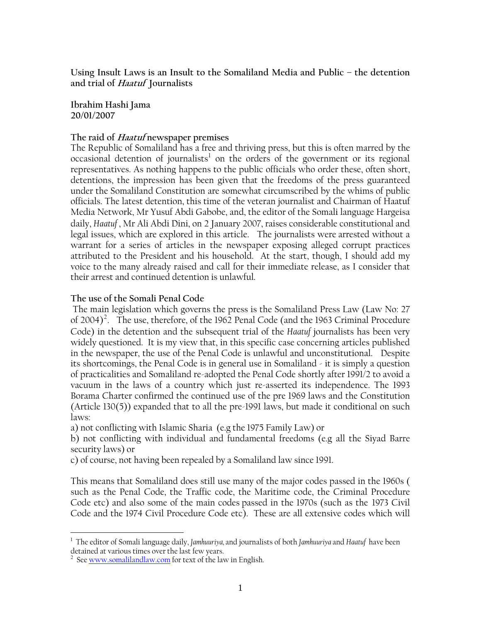**Using Insult Laws is an Insult to the Somaliland Media and Public – the detention and trial of Haatuf Journalists** 

**Ibrahim Hashi Jama 20/01/2007** 

### **The raid of Haatuf newspaper premises**

The Republic of Somaliland has a free and thriving press, but this is often marred by the  $\alpha$  occasional detention of journalists<sup>[1](#page-0-0)</sup> on the orders of the government or its regional representatives. As nothing happens to the public officials who order these, often short, detentions, the impression has been given that the freedoms of the press guaranteed under the Somaliland Constitution are somewhat circumscribed by the whims of public officials. The latest detention, this time of the veteran journalist and Chairman of Haatuf Media Network, Mr Yusuf Abdi Gabobe, and, the editor of the Somali language Hargeisa daily, *Haatuf* , Mr Ali Abdi Dini, on 2 January 2007, raises considerable constitutional and legal issues, which are explored in this article. The journalists were arrested without a warrant for a series of articles in the newspaper exposing alleged corrupt practices attributed to the President and his household. At the start, though, I should add my voice to the many already raised and call for their immediate release, as I consider that their arrest and continued detention is unlawful.

### **The use of the Somali Penal Code**

 The main legislation which governs the press is the Somaliland Press Law (Law No: 27 of [2](#page-0-1)004)<sup>2</sup>. The use, therefore, of the 1962 Penal Code (and the 1963 Criminal Procedure Code) in the detention and the subsequent trial of the *Haatuf* journalists has been very widely questioned. It is my view that, in this specific case concerning articles published in the newspaper, the use of the Penal Code is unlawful and unconstitutional. Despite its shortcomings, the Penal Code is in general use in Somaliland - it is simply a question of practicalities and Somaliland re-adopted the Penal Code shortly after 1991/2 to avoid a vacuum in the laws of a country which just re-asserted its independence. The 1993 Borama Charter confirmed the continued use of the pre 1969 laws and the Constitution (Article 130(5)) expanded that to all the pre-1991 laws, but made it conditional on such laws:

a) not conflicting with Islamic Sharia (e.g the 1975 Family Law) or

b) not conflicting with individual and fundamental freedoms (e.g all the Siyad Barre security laws) or

c) of course, not having been repealed by a Somaliland law since 1991.

This means that Somaliland does still use many of the major codes passed in the 1960s ( such as the Penal Code, the Traffic code, the Maritime code, the Criminal Procedure Code etc) and also some of the main codes passed in the 1970s (such as the 1973 Civil Code and the 1974 Civil Procedure Code etc). These are all extensive codes which will

<span id="page-0-0"></span> 1 The editor of Somali language daily, *Jamhuuriya,* and journalists of both *Jamhuuriya* and *Haatuf* have been detained at various times over the last few years.

<span id="page-0-1"></span> $2$  See [www.somalilandlaw.com](http://www.somalilandlaw.com/) for text of the law in English.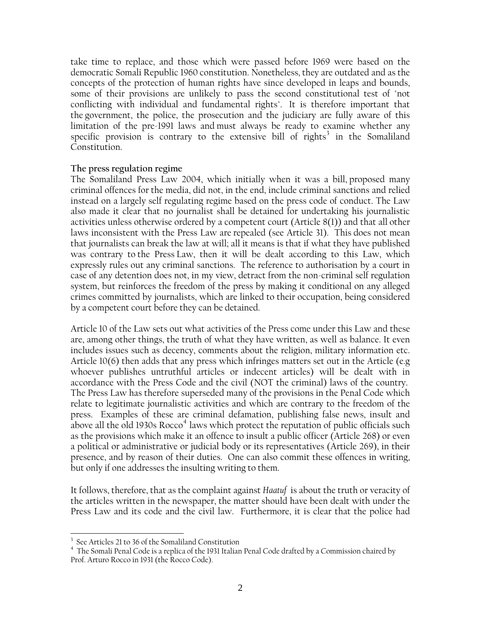take time to replace, and those which were passed before 1969 were based on the democratic Somali Republic 1960 constitution. Nonetheless, they are outdated and as the concepts of the protection of human rights have since developed in leaps and bounds, some of their provisions are unlikely to pass the second constitutional test of "not conflicting with individual and fundamental rights". It is therefore important that the government, the police, the prosecution and the judiciary are fully aware of this limitation of the pre-1991 laws and must always be ready to examine whether any specific provision is contrary to the extensive bill of rights<sup>[3](#page-1-0)</sup> in the Somaliland Constitution.

#### **The press regulation regime**

The Somaliland Press Law 2004, which initially when it was a bill, proposed many criminal offences for the media, did not, in the end, include criminal sanctions and relied instead on a largely self regulating regime based on the press code of conduct. The Law also made it clear that no journalist shall be detained for undertaking his journalistic activities unless otherwise ordered by a competent court (Article 8(1)) and that all other laws inconsistent with the Press Law are repealed (see Article 31). This does not mean that journalists can break the law at will; all it means is that if what they have published was contrary to the Press Law, then it will be dealt according to this Law, which expressly rules out any criminal sanctions. The reference to authorisation by a court in case of any detention does not, in my view, detract from the non-criminal self regulation system, but reinforces the freedom of the press by making it conditional on any alleged crimes committed by journalists, which are linked to their occupation, being considered by a competent court before they can be detained.

Article 10 of the Law sets out what activities of the Press come under this Law and these are, among other things, the truth of what they have written, as well as balance. It even includes issues such as decency, comments about the religion, military information etc. Article 10(6) then adds that any press which infringes matters set out in the Article (e.g whoever publishes untruthful articles or indecent articles) will be dealt with in accordance with the Press Code and the civil (NOT the criminal) laws of the country. The Press Law has therefore superseded many of the provisions in the Penal Code which relate to legitimate journalistic activities and which are contrary to the freedom of the press. Examples of these are criminal defamation, publishing false news, insult and above all the old 1930s Rocco<sup>[4](#page-1-1)</sup> laws which protect the reputation of public officials such as the provisions which make it an offence to insult a public officer (Article 268) or even a political or administrative or judicial body or its representatives (Article 269), in their presence, and by reason of their duties. One can also commit these offences in writing, but only if one addresses the insulting writing to them.

It follows, therefore, that as the complaint against *Haatuf* is about the truth or veracity of the articles written in the newspaper, the matter should have been dealt with under the Press Law and its code and the civil law. Furthermore, it is clear that the police had

 $\overline{a}$ 

<span id="page-1-0"></span><sup>&</sup>lt;sup>3</sup> See Articles 21 to 36 of the Somaliland Constitution

<span id="page-1-1"></span><sup>4</sup> The Somali Penal Code is a replica of the 1931 Italian Penal Code drafted by a Commission chaired by Prof. Arturo Rocco in 1931 (the Rocco Code).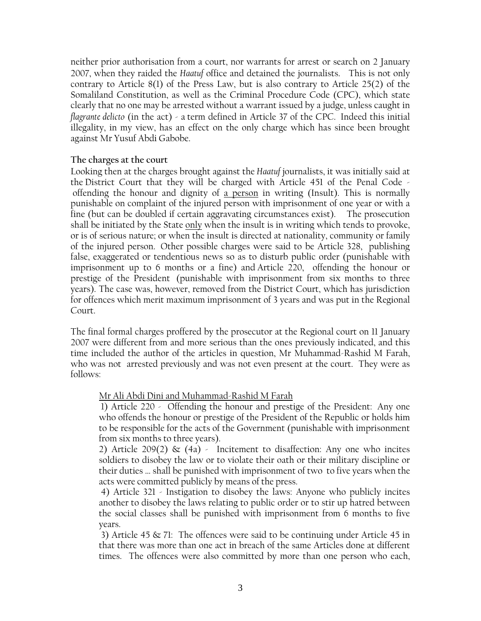neither prior authorisation from a court, nor warrants for arrest or search on 2 January 2007, when they raided the *Haatuf* office and detained the journalists. This is not only contrary to Article 8(1) of the Press Law, but is also contrary to Article 25(2) of the Somaliland Constitution, as well as the Criminal Procedure Code (CPC), which state clearly that no one may be arrested without a warrant issued by a judge, unless caught in *flagrante delicto* (in the act) - a term defined in Article 37 of the CPC. Indeed this initial illegality, in my view, has an effect on the only charge which has since been brought against Mr Yusuf Abdi Gabobe.

### **The charges at the court**

Looking then at the charges brought against the *Haatuf* journalists, it was initially said at the District Court that they will be charged with Article 451 of the Penal Code offending the honour and dignity of a person in writing (Insult). This is normally punishable on complaint of the injured person with imprisonment of one year or with a fine (but can be doubled if certain aggravating circumstances exist). The prosecution shall be initiated by the State only when the insult is in writing which tends to provoke, or is of serious nature; or when the insult is directed at nationality, community or family of the injured person. Other possible charges were said to be Article 328, publishing false, exaggerated or tendentious news so as to disturb public order (punishable with imprisonment up to 6 months or a fine) and Article 220, offending the honour or prestige of the President (punishable with imprisonment from six months to three years). The case was, however, removed from the District Court, which has jurisdiction for offences which merit maximum imprisonment of 3 years and was put in the Regional Court.

The final formal charges proffered by the prosecutor at the Regional court on 11 January 2007 were different from and more serious than the ones previously indicated, and this time included the author of the articles in question, Mr Muhammad-Rashid M Farah, who was not arrested previously and was not even present at the court. They were as follows:

# Mr Ali Abdi Dini and Muhammad-Rashid M Farah

 1) Article 220 - Offending the honour and prestige of the President: Any one who offends the honour or prestige of the President of the Republic or holds him to be responsible for the acts of the Government (punishable with imprisonment from six months to three years).

2) Article 209(2)  $\&$  (4a) - Incitement to disaffection: Any one who incites soldiers to disobey the law or to violate their oath or their military discipline or their duties … shall be punished with imprisonment of two to five years when the acts were committed publicly by means of the press.

 4) Article 321 - Instigation to disobey the laws: Anyone who publicly incites another to disobey the laws relating to public order or to stir up hatred between the social classes shall be punished with imprisonment from 6 months to five years.

 3) Article 45 & 71: The offences were said to be continuing under Article 45 in that there was more than one act in breach of the same Articles done at different times. The offences were also committed by more than one person who each,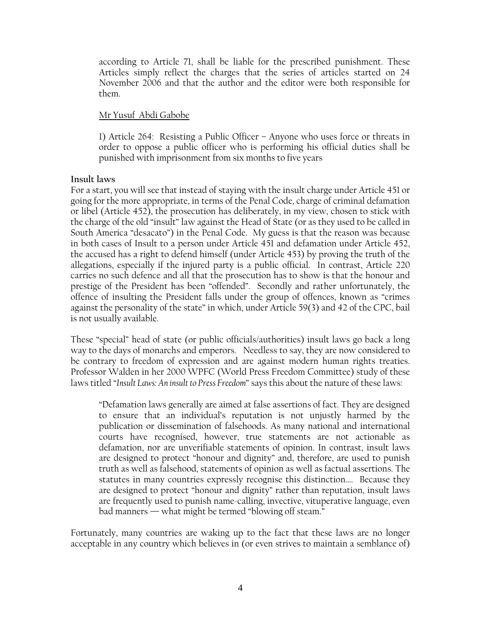according to Article 71, shall be liable for the prescribed punishment. These Articles simply reflect the charges that the series of articles started on 24 November 2006 and that the author and the editor were both responsible for them.

# Mr Yusuf Abdi Gabobe

1) Article 264: Resisting a Public Officer – Anyone who uses force or threats in order to oppose a public officer who is performing his official duties shall be punished with imprisonment from six months to five years

### **Insult laws**

For a start, you will see that instead of staying with the insult charge under Article 451 or going for the more appropriate, in terms of the Penal Code, charge of criminal defamation or libel (Article 452), the prosecution has deliberately, in my view, chosen to stick with the charge of the old "insult" law against the Head of State (or as they used to be called in South America "desacato") in the Penal Code. My guess is that the reason was because in both cases of Insult to a person under Article 451 and defamation under Article 452, the accused has a right to defend himself (under Article 453) by proving the truth of the allegations, especially if the injured party is a public official. In contrast, Article 220 carries no such defence and all that the prosecution has to show is that the honour and prestige of the President has been "offended". Secondly and rather unfortunately, the offence of insulting the President falls under the group of offences, known as "crimes against the personality of the state" in which, under Article 59(3) and 42 of the CPC, bail is not usually available.

These "special" head of state (or public officials/authorities) insult laws go back a long way to the days of monarchs and emperors. Needless to say, they are now considered to be contrary to freedom of expression and are against modern human rights treaties. Professor Walden in her 2000 WPFC (World Press Freedom Committee) study of these laws titled "*Insult Laws: An insult to Press Freedom*" says this about the nature of these laws:

"Defamation laws generally are aimed at false assertions of fact. They are designed to ensure that an individual's reputation is not unjustly harmed by the publication or dissemination of falsehoods. As many national and international courts have recognised, however, true statements are not actionable as defamation, nor are unverifiable statements of opinion. In contrast, insult laws are designed to protect "honour and dignity" and, therefore, are used to punish truth as well as falsehood, statements of opinion as well as factual assertions. The statutes in many countries expressly recognise this distinction…. Because they are designed to protect "honour and dignity" rather than reputation, insult laws are frequently used to punish name-calling, invective, vituperative language, even bad manners — what might be termed "blowing off steam."

Fortunately, many countries are waking up to the fact that these laws are no longer acceptable in any country which believes in (or even strives to maintain a semblance of)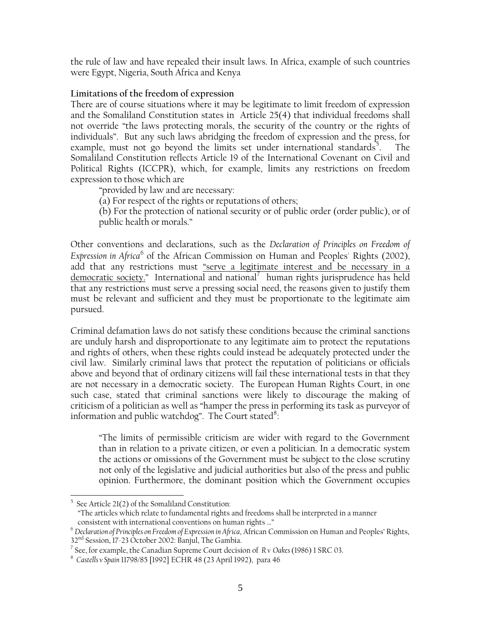the rule of law and have repealed their insult laws. In Africa, example of such countries were Egypt, Nigeria, South Africa and Kenya

# **Limitations of the freedom of expression**

There are of course situations where it may be legitimate to limit freedom of expression and the Somaliland Constitution states in Article 25(4) that individual freedoms shall not override "the laws protecting morals, the security of the country or the rights of individuals". But any such laws abridging the freedom of expression and the press, for example, must not go beyond the limits set under international standards<sup>[5](#page-4-0)</sup>. . The Somaliland Constitution reflects Article 19 of the International Covenant on Civil and Political Rights (ICCPR), which, for example, limits any restrictions on freedom expression to those which are

"provided by law and are necessary:

(a) For respect of the rights or reputations of others;

(b) For the protection of national security or of public order (order public), or of public health or morals."

Other conventions and declarations, such as the *Declaration of Principles on Freedom of Expression in Africa*<sup>[6](#page-4-1)</sup> of the African Commission on Human and Peoples' Rights (2002), add that any restrictions must "serve a legitimate interest and be necessary in a democratic society." International and national<sup>[7](#page-4-2)</sup> human rights jurisprudence has held that any restrictions must serve a pressing social need, the reasons given to justify them must be relevant and sufficient and they must be proportionate to the legitimate aim pursued.

Criminal defamation laws do not satisfy these conditions because the criminal sanctions are unduly harsh and disproportionate to any legitimate aim to protect the reputations and rights of others, when these rights could instead be adequately protected under the civil law. Similarly criminal laws that protect the reputation of politicians or officials above and beyond that of ordinary citizens will fail these international tests in that they are not necessary in a democratic society. The European Human Rights Court, in one such case, stated that criminal sanctions were likely to discourage the making of criticism of a politician as well as "hamper the press in performing its task as purveyor of information and public watchdog". The Court stated<sup>[8](#page-4-3)</sup>:

"The limits of permissible criticism are wider with regard to the Government than in relation to a private citizen, or even a politician. In a democratic system the actions or omissions of the Government must be subject to the close scrutiny not only of the legislative and judicial authorities but also of the press and public opinion. Furthermore, the dominant position which the Government occupies

 $\overline{a}$ 

<sup>5</sup> See Article 21(2) of the Somaliland Constitution:

<span id="page-4-0"></span> <sup>&</sup>quot;The articles which relate to fundamental rights and freedoms shall be interpreted in a manner consistent with international conventions on human rights …" 6 *Declaration of Principles on Freedom of Expression in Africa*, African Commission on Human and Peoples' Rights,

<span id="page-4-1"></span><sup>32&</sup>lt;sup>nd</sup> Session, 17-23 October 2002: Banjul, The Gambia.

<span id="page-4-2"></span><sup>7</sup> See, for example, the Canadian Supreme Court decision of *R v Oakes* (1986) 1 SRC 03. 8

<span id="page-4-3"></span>*Castells v Spain* 11798/85 [1992] ECHR 48 (23 April 1992), para 46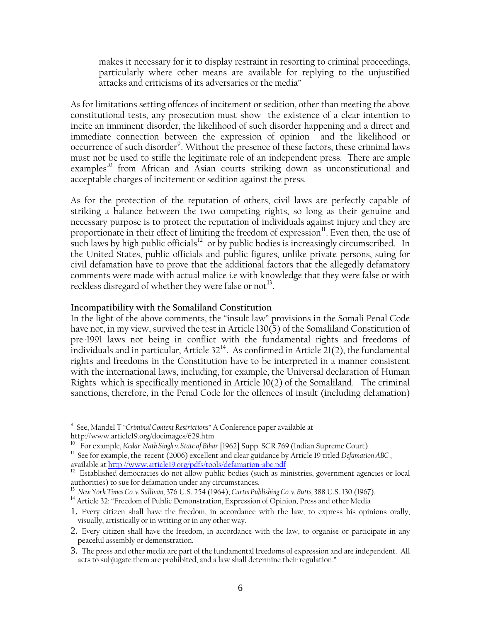makes it necessary for it to display restraint in resorting to criminal proceedings, particularly where other means are available for replying to the unjustified attacks and criticisms of its adversaries or the media"

As for limitations setting offences of incitement or sedition, other than meeting the above constitutional tests, any prosecution must show the existence of a clear intention to incite an imminent disorder, the likelihood of such disorder happening and a direct and immediate connection between the expression of opinion and the likelihood or occurrence of such disorder<sup>[9](#page-5-0)</sup>. Without the presence of these factors, these criminal laws must not be used to stifle the legitimate role of an independent press. There are ample examples<sup>[10](#page-5-1)</sup> from African and Asian courts striking down as unconstitutional and acceptable charges of incitement or sedition against the press.

As for the protection of the reputation of others, civil laws are perfectly capable of striking a balance between the two competing rights, so long as their genuine and necessary purpose is to protect the reputation of individuals against injury and they are proportionate in their effect of limiting the freedom of expression $\mathbf{u}$ . Even then, the use of such laws by high public officials<sup>[12](#page-5-3)</sup> or by public bodies is increasingly circumscribed. In the United States, public officials and public figures, unlike private persons, suing for civil defamation have to prove that the additional factors that the allegedly defamatory comments were made with actual malice i.e with knowledge that they were false or with reckless disregard of whether they were false or not<sup>[13](#page-5-4)</sup>.

### **Incompatibility with the Somaliland Constitution**

 $\overline{a}$ 

In the light of the above comments, the "insult law" provisions in the Somali Penal Code have not, in my view, survived the test in Article 130(5) of the Somaliland Constitution of pre-1991 laws not being in conflict with the fundamental rights and freedoms of individuals and in particular, Article  $32^{14}$  $32^{14}$  $32^{14}$ . As confirmed in Article 21(2), the fundamental rights and freedoms in the Constitution have to be interpreted in a manner consistent with the international laws, including, for example, the Universal declaration of Human Rights which is specifically mentioned in Article 10(2) of the Somaliland. The criminal sanctions, therefore, in the Penal Code for the offences of insult (including defamation)

<span id="page-5-0"></span><sup>9</sup> See, Mandel T "*Criminal Content Restrictions*" A Conference paper available at

<span id="page-5-1"></span>http://www.article19.org/docimages/629.htm<br>
<sup>10</sup> For example, *Kedar Nath Singh v. State of Bihar* [1962] Supp. SCR 769 (Indian Supreme Court)

<span id="page-5-2"></span><sup>&</sup>lt;sup>11</sup> See for example, the recent (2006) excellent and clear guidance by Article 19 titled *Defamation ABC*, available at <u>http://www.article19.org/pdfs/tools/defamation-abc.pdf</u>

<span id="page-5-3"></span> $12$  Established democracies do not allow public bodies (such as ministries, government agencies or local authorities) to sue for defamation under any circumstances.

<span id="page-5-4"></span><sup>13</sup> *New York Times Co. v. Sullivan,* 376 U.S. 254 (1964); *Curtis Publishing Co. v. Butts,* 388 U.S. 130 (1967).

<span id="page-5-5"></span><sup>&</sup>lt;sup>14</sup> Article 32: "Freedom of Public Demonstration, Expression of Opinion, Press and other Media

<sup>1.</sup> Every citizen shall have the freedom, in accordance with the law, to express his opinions orally, visually, artistically or in writing or in any other way.

<sup>2.</sup> Every citizen shall have the freedom, in accordance with the law, to organise or participate in any peaceful assembly or demonstration.

<sup>3.</sup> The press and other media are part of the fundamental freedoms of expression and are independent. All acts to subjugate them are prohibited, and a law shall determine their regulation."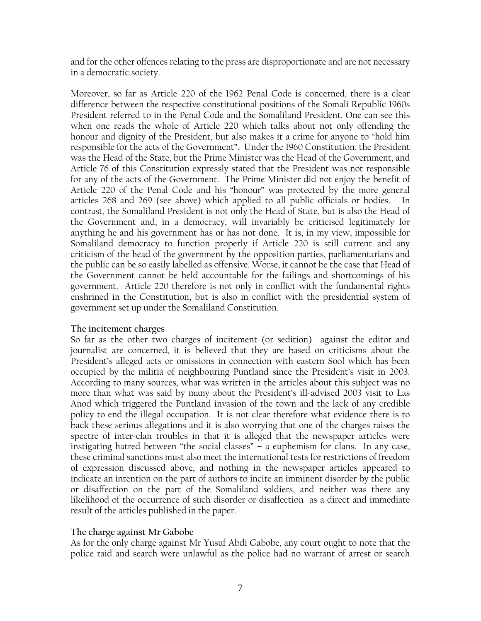and for the other offences relating to the press are disproportionate and are not necessary in a democratic society.

Moreover, so far as Article 220 of the 1962 Penal Code is concerned, there is a clear difference between the respective constitutional positions of the Somali Republic 1960s President referred to in the Penal Code and the Somaliland President. One can see this when one reads the whole of Article 220 which talks about not only offending the honour and dignity of the President, but also makes it a crime for anyone to "hold him responsible for the acts of the Government". Under the 1960 Constitution, the President was the Head of the State, but the Prime Minister was the Head of the Government, and Article 76 of this Constitution expressly stated that the President was not responsible for any of the acts of the Government. The Prime Minister did not enjoy the benefit of Article 220 of the Penal Code and his "honour" was protected by the more general articles 268 and 269 (see above) which applied to all public officials or bodies. contrast, the Somaliland President is not only the Head of State, but is also the Head of the Government and, in a democracy, will invariably be criticised legitimately for anything he and his government has or has not done. It is, in my view, impossible for Somaliland democracy to function properly if Article 220 is still current and any criticism of the head of the government by the opposition parties, parliamentarians and the public can be so easily labelled as offensive. Worse, it cannot be the case that Head of the Government cannot be held accountable for the failings and shortcomings of his government. Article 220 therefore is not only in conflict with the fundamental rights enshrined in the Constitution, but is also in conflict with the presidential system of government set up under the Somaliland Constitution.

# **The incitement charges**

So far as the other two charges of incitement (or sedition) against the editor and journalist are concerned, it is believed that they are based on criticisms about the President's alleged acts or omissions in connection with eastern Sool which has been occupied by the militia of neighbouring Puntland since the President's visit in 2003. According to many sources, what was written in the articles about this subject was no more than what was said by many about the President's ill-advised 2003 visit to Las Anod which triggered the Puntland invasion of the town and the lack of any credible policy to end the illegal occupation. It is not clear therefore what evidence there is to back these serious allegations and it is also worrying that one of the charges raises the spectre of inter-clan troubles in that it is alleged that the newspaper articles were instigating hatred between "the social classes" – a euphemism for clans. In any case, these criminal sanctions must also meet the international tests for restrictions of freedom of expression discussed above, and nothing in the newspaper articles appeared to indicate an intention on the part of authors to incite an imminent disorder by the public or disaffection on the part of the Somaliland soldiers, and neither was there any likelihood of the occurrence of such disorder or disaffection as a direct and immediate result of the articles published in the paper.

# **The charge against Mr Gabobe**

As for the only charge against Mr Yusuf Abdi Gabobe, any court ought to note that the police raid and search were unlawful as the police had no warrant of arrest or search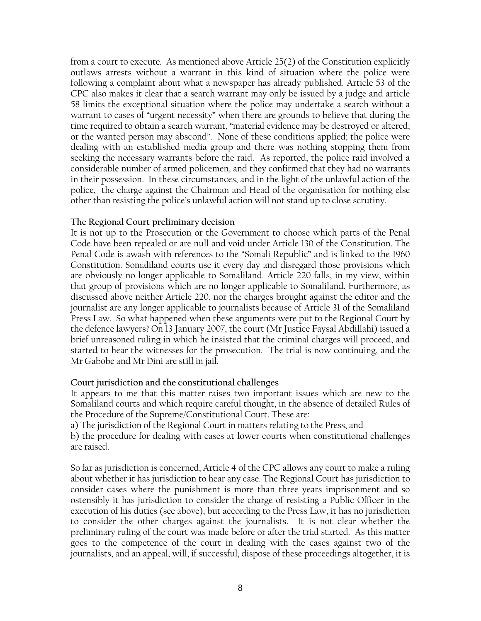from a court to execute. As mentioned above Article 25(2) of the Constitution explicitly outlaws arrests without a warrant in this kind of situation where the police were following a complaint about what a newspaper has already published. Article 53 of the CPC also makes it clear that a search warrant may only be issued by a judge and article 58 limits the exceptional situation where the police may undertake a search without a warrant to cases of "urgent necessity" when there are grounds to believe that during the time required to obtain a search warrant, "material evidence may be destroyed or altered; or the wanted person may abscond". None of these conditions applied; the police were dealing with an established media group and there was nothing stopping them from seeking the necessary warrants before the raid. As reported, the police raid involved a considerable number of armed policemen, and they confirmed that they had no warrants in their possession. In these circumstances, and in the light of the unlawful action of the police, the charge against the Chairman and Head of the organisation for nothing else other than resisting the police's unlawful action will not stand up to close scrutiny.

#### **The Regional Court preliminary decision**

It is not up to the Prosecution or the Government to choose which parts of the Penal Code have been repealed or are null and void under Article 130 of the Constitution. The Penal Code is awash with references to the "Somali Republic" and is linked to the 1960 Constitution. Somaliland courts use it every day and disregard those provisions which are obviously no longer applicable to Somaliland. Article 220 falls, in my view, within that group of provisions which are no longer applicable to Somaliland. Furthermore, as discussed above neither Article 220, nor the charges brought against the editor and the journalist are any longer applicable to journalists because of Article 31 of the Somaliland Press Law. So what happened when these arguments were put to the Regional Court by the defence lawyers? On 13 January 2007, the court (Mr Justice Faysal Abdillahi) issued a brief unreasoned ruling in which he insisted that the criminal charges will proceed, and started to hear the witnesses for the prosecution. The trial is now continuing, and the Mr Gabobe and Mr Dini are still in jail.

#### **Court jurisdiction and the constitutional challenges**

It appears to me that this matter raises two important issues which are new to the Somaliland courts and which require careful thought, in the absence of detailed Rules of the Procedure of the Supreme/Constitutional Court. These are:

a) The jurisdiction of the Regional Court in matters relating to the Press, and

b) the procedure for dealing with cases at lower courts when constitutional challenges are raised.

So far as jurisdiction is concerned, Article 4 of the CPC allows any court to make a ruling about whether it has jurisdiction to hear any case. The Regional Court has jurisdiction to consider cases where the punishment is more than three years imprisonment and so ostensibly it has jurisdiction to consider the charge of resisting a Public Officer in the execution of his duties (see above), but according to the Press Law, it has no jurisdiction to consider the other charges against the journalists. It is not clear whether the preliminary ruling of the court was made before or after the trial started. As this matter goes to the competence of the court in dealing with the cases against two of the journalists, and an appeal, will, if successful, dispose of these proceedings altogether, it is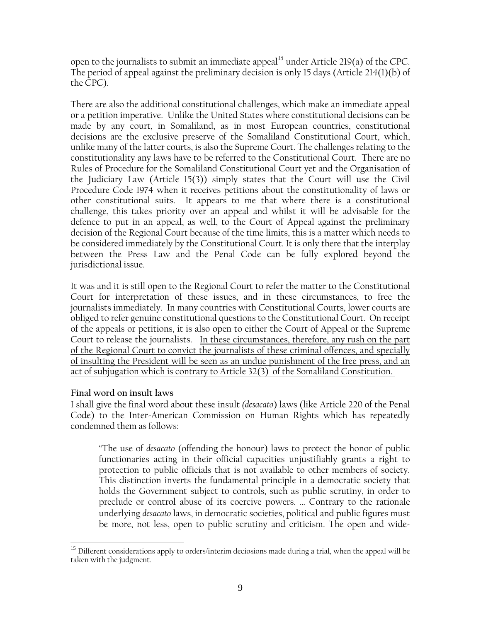open to the journalists to submit an immediate appeal<sup>[15](#page-8-0)</sup> under Article 219(a) of the CPC. The period of appeal against the preliminary decision is only 15 days (Article 214(1)(b) of the CPC).

There are also the additional constitutional challenges, which make an immediate appeal or a petition imperative. Unlike the United States where constitutional decisions can be made by any court, in Somaliland, as in most European countries, constitutional decisions are the exclusive preserve of the Somaliland Constitutional Court, which, unlike many of the latter courts, is also the Supreme Court. The challenges relating to the constitutionality any laws have to be referred to the Constitutional Court. There are no Rules of Procedure for the Somaliland Constitutional Court yet and the Organisation of the Judiciary Law (Article 15(3)) simply states that the Court will use the Civil Procedure Code 1974 when it receives petitions about the constitutionality of laws or other constitutional suits. It appears to me that where there is a constitutional challenge, this takes priority over an appeal and whilst it will be advisable for the defence to put in an appeal, as well, to the Court of Appeal against the preliminary decision of the Regional Court because of the time limits, this is a matter which needs to be considered immediately by the Constitutional Court. It is only there that the interplay between the Press Law and the Penal Code can be fully explored beyond the jurisdictional issue.

It was and it is still open to the Regional Court to refer the matter to the Constitutional Court for interpretation of these issues, and in these circumstances, to free the journalists immediately. In many countries with Constitutional Courts, lower courts are obliged to refer genuine constitutional questions to the Constitutional Court. On receipt of the appeals or petitions, it is also open to either the Court of Appeal or the Supreme Court to release the journalists. In these circumstances, therefore, any rush on the part of the Regional Court to convict the journalists of these criminal offences, and specially of insulting the President will be seen as an undue punishment of the free press, and an act of subjugation which is contrary to Article 32(3) of the Somaliland Constitution.

# **Final word on insult laws**

I shall give the final word about these insult *(desacato*) laws (like Article 220 of the Penal Code) to the Inter-American Commission on Human Rights which has repeatedly condemned them as follows:

"The use of *desacato* (offending the honour) laws to protect the honor of public functionaries acting in their official capacities unjustifiably grants a right to protection to public officials that is not available to other members of society. This distinction inverts the fundamental principle in a democratic society that holds the Government subject to controls, such as public scrutiny, in order to preclude or control abuse of its coercive powers. … Contrary to the rationale underlying *desacato* laws, in democratic societies, political and public figures must be more, not less, open to public scrutiny and criticism. The open and wide-

<span id="page-8-0"></span><sup>1</sup> <sup>15</sup> Different considerations apply to orders/interim deciosions made during a trial, when the appeal will be taken with the judgment.